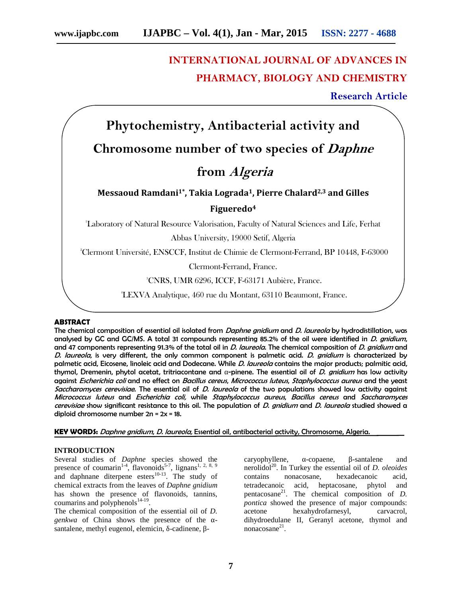# **INTERNATIONAL JOURNAL OF ADVANCES IN PHARMACY, BIOLOGY AND CHEMISTRY**

# **Research Article**

**Phytochemistry, Antibacterial activity and Chromosome number of two species of** *Daphne* **from** *Algeria* **Messaoud Ramdani1\*, Takia Lograda1, Pierre Chalard2,3 and Gilles Figueredo<sup>4</sup>** <sup>1</sup>Laboratory of Natural Resource Valorisation, Faculty of Natural Sciences and Life, Ferhat Abbas University, 19000 Setif, Algeria <sup>2</sup>Clermont Université, ENSCCF, Institut de Chimie de Clermont-Ferrand, BP 10448, F-63000 Clermont-Ferrand, France. <sup>3</sup>CNRS, UMR 6296, ICCF, F-63171 Aubière, France. 4LEXVA Analytique, 460 rue du Montant, 63110 Beaumont, France.

#### **ABSTRACT**

The chemical composition of essential oil isolated from *Daphne gnidium* and *D. laureola* by hydrodistillation, was analysed by GC and GC/MS. A total 31 compounds representing 85.2% of the oil were identified in *D. gnidium*, and 47 components representing 91.3% of the total oil in *D. laureola*. The chemical composition of *D. gnidium* and *D. laureola*, is very different, the only common component is palmetic acid. *D. gnidium* is characterized by palmetic acid, Eicosene, linoleic acid and Dodecane. While *D. laureola* contains the major products; palmitic acid, thymol, Dremenin, phytol acetat, tritriacontane and -pinene. The essential oil of *D. gnidium* has low activity against *Escherichia coli* and no effect on *Bacillus cereus*, *Micrococcus luteus*, *Staphylococcus aureus* and the yeast *Saccharomyces cerevisiae*. The essential oil of *D. laureola* of the two populations showed low activity against *Micrococcus luteus* and *Escherichia coli,* while *Staphylococcus aureus*, *Bacillus cereus* and *Saccharomyces cerevisiae* show significant resistance to this oil. The population of *D. gnidium* and *D. laureola* studied showed a diploid chromosome number 2n = 2x = 18.

**KEY WORDS:** *Daphne gnidium*, *D. laureola,* Essential oil, antibacterial activity, Chromosome, Algeria.

#### **INTRODUCTION**

Several studies of *Daphne* species showed the presence of coumarin<sup>1-4</sup>, flavonoids<sup>5-7</sup>, lignans<sup>1, 2, 8, 9</sup> and daphnane diterpene esters $10-13$ . The study of chemical extracts from the leaves of *Daphne gnidium* has shown the presence of flavonoids, tannins, coumarins and polyphenols $^{14-19}$ .

The chemical composition of the essential oil of *D. genkwa* of China shows the presence of the santalene, methyl eugenol, elemicin, -cadinene, -

caryophyllene, -copaene, -santalene and nerolidol<sup>20</sup>. In Turkey the essential oil of *D. oleoides* contains nonacosane, hexadecanoic acid, acid, heptacosane, phytol and pentacosane<sup>21</sup>. The chemical composition of *D. pontica* showed the presence of major compounds: acetone hexahydrofarnesyl, carvacrol, dihydroedulane II, Geranyl acetone, thymol and  $nonacosane<sup>21</sup>$ .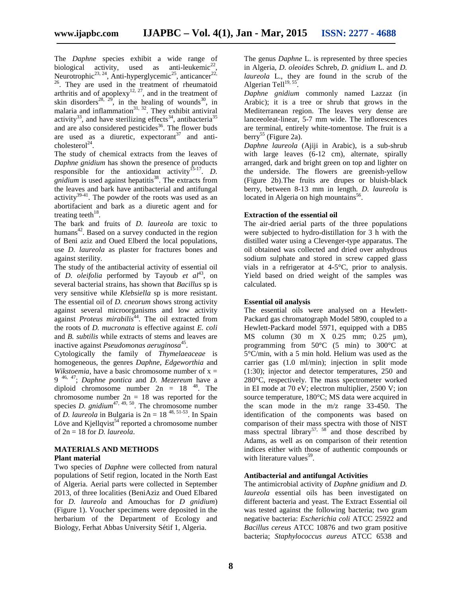The *Daphne* species exhibit a wide range of biological activity, used as anti-leukemic<sup>22</sup>, Neurotrophic<sup>23, 24</sup>, Anti-hyperglycemic<sup>25</sup>, anticancer<sup>22, 26</sup>. They are used in the treatment of rheumatoid arthritis and of apoplexy<sup>12, 27</sup>, and in the treatment of skin disorders<sup>28, 29</sup>, in the healing of wounds<sup>30</sup>, in malaria and inflammation<sup>31, 32</sup>. They exhibit antiviral activity<sup>33</sup>, and have sterilizing effects<sup>34</sup>, antibacteria<sup>35</sup> and are also considered pesticides<sup>36</sup>. The flower buds are used as a diuretic, expectorant<sup>37</sup> and anti $cholesterol<sup>24</sup>$ .

The study of chemical extracts from the leaves of *Daphne gnidium* has shown the presence of products responsible for the antioxidant activity  $5-17$ . *D. gnidium* is used against hepatitis<sup>38</sup>. The extracts from the leaves and bark have antibacterial and antifungal activity<sup>39-41</sup>. The powder of the roots was used as an abortifacient and bark as a diuretic agent and for treating teeth<sup>18</sup>.

The bark and fruits of *D. laureola* are toxic to humans<sup>42</sup>. Based on a survey conducted in the region of Beni aziz and Oued Elberd the local populations, use *D. laureola* as plaster for fractures bones and against sterility.

The study of the antibacterial activity of essential oil of *D. oleifolia* performed by Tayoub *et al*<sup>43</sup>, on several bacterial strains, has shown that *Bacillus* sp is very sensitive while *Klebsiella* sp is more resistant. The essential oil of *D. cneorum* shows strong activity against several microorganisms and low activity against *Proteus mirabilis*<sup>44</sup>. The oil extracted from the roots of *D. mucronata* is effective against *E. coli* and *B. subtilis* while extracts of stems and leaves are inactive against *Pseudomonas aeruginosa*<sup>45</sup>.

Cytologically the family of *Thymelaeaceae* is homogeneous, the genres *Daphne*, *Edgeworthia* and *Wikstoemia*, have a basic chromosome number of  $x =$ 9 46, 47; *Daphne pontica* and *D. Mezereum* have a diploid chromosome number  $2n = 18^{48}$ . The chromosome number  $2n = 18$  was reported for the species *D.* gnidium<sup>47, 49, 50. The chromosome number</sup> of *D. laureola* in Bulgaria is 2n = 18 48, 51-53. In Spain Löve and Kjellqvist $54$  reported a chromosome number of 2n = 18 for *D. laureola*.

# **MATERIALS AND METHODS**

#### **Plant material**

Two species of *Daphne* were collected from natural populations of Setif region, located in the North East of Algeria. Aerial parts were collected in September 2013, of three localities (BeniAziz and Oued Elbared for *D. laureola* and Amouchas for *D gnidium*) (Figure 1). Voucher specimens were deposited in the herbarium of the Department of Ecology and Biology, Ferhat Abbas University Sétif 1, Algeria.

The genus *Daphne* L. is represented by three species in Algeria, *D. oleoides* Schreb, *D. gnidium* L. and *D.* laureola L., they are found in the scrub of the Algerian Tell $^{19, 55}$ .

*Daphne gnidium* commonly named Lazzaz (in Arabic); it is a tree or shrub that grows in the Mediterranean region. The leaves very dense are lanceeoleat-linear, 5-7 mm wide. The inflorescences are terminal, entirely white-tomentose. The fruit is a berry<sup>55</sup> (Figure 2a).

*Daphne laureola* (Ajiji in Arabic), is a sub-shrub with large leaves (6-12 cm), alternate, spirally arranged, dark and bright green on top and lighter on the underside. The flowers are greenish-yellow (Figure 2b).The fruits are drupes or bluish-black berry, between 8-13 mm in length. *D. laureola* is located in Algeria on high mountains<sup>56</sup>.

#### **Extraction of the essential oil**

The air-dried aerial parts of the three populations were subjected to hydro-distillation for 3 h with the distilled water using a Clevenger-type apparatus. The oil obtained was collected and dried over anhydrous sodium sulphate and stored in screw capped glass vials in a refrigerator at 4-5°C, prior to analysis. Yield based on dried weight of the samples was calculated.

#### **Essential oil analysis**

The essential oils were analysed on a Hewlett- Packard gas chromatograph Model 5890, coupled to a Hewlett-Packard model 5971, equipped with a DB5 MS column (30 m X 0.25 mm; 0.25 μm), programming from  $50^{\circ}$ C (5 min) to  $300^{\circ}$ C at 5°C/min, with a 5 min hold. Helium was used as the carrier gas (1.0 ml/min); injection in split mode (1:30); injector and detector temperatures, 250 and 280°C, respectively. The mass spectrometer worked in EI mode at 70 eV; electron multiplier, 2500 V; ion source temperature, 180°C; MS data were acquired in the scan mode in the m/z range 33-450. The identification of the components was based on comparison of their mass spectra with those of NIST mass spectral library<sup>57, 58</sup> and those described by Adams, as well as on comparison of their retention indices either with those of authentic compounds or with literature values<sup>59</sup>.

# **Antibacterial and antifungal Activities**

The antimicrobial activity of *Daphne gnidium* and *D. laureola* essential oils has been investigated on different bacteria and yeast. The Extract Essential oil was tested against the following bacteria; two gram negative bacteria: *Escherichia coli* ATCC 25922 and *Bacillus cereus* ATCC 10876 and two gram positive bacteria; *Staphylococcus aureus* ATCC 6538 and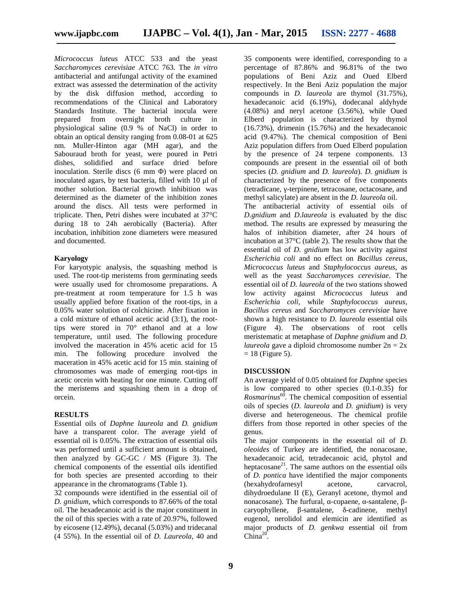*Micrococcus luteus* ATCC 533 and the yeast *Saccharomyces cerevisiae* ATCC 763. The *in vitro* antibacterial and antifungal activity of the examined extract was assessed the determination of the activity by the disk diffusion method, according to recommendations of the Clinical and Laboratory Standards Institute. The bacterial inocula were prepared from overnight broth culture in physiological saline (0.9 % of NaCl) in order to obtain an optical density ranging from 0.08-01 at 625 nm. Muller-Hinton agar (MH agar), and the Sabouraud broth for yeast, were poured in Petri dishes, solidified and surface dried before inoculation. Sterile discs  $(6 \text{ mm})$  were placed on inoculated agars, by test bacteria, filled with 10 μl of mother solution. Bacterial growth inhibition was determined as the diameter of the inhibition zones around the discs. All tests were performed in triplicate. Then, Petri dishes were incubated at 37°C during 18 to 24h aerobically (Bacteria). After incubation, inhibition zone diameters were measured and documented.

# **Karyology**

For karyotypic analysis, the squashing method is used. The root-tip meristems from germinating seeds were usually used for chromosome preparations. A pre-treatment at room temperature for 1.5 h was usually applied before fixation of the root-tips, in a 0.05% water solution of colchicine. After fixation in a cold mixture of ethanol acetic acid (3:1), the roottips were stored in 70° ethanol and at a low temperature, until used. The following procedure involved the maceration in 45% acetic acid for 15 min. The following procedure involved the maceration in 45% acetic acid for 15 min. staining of chromosomes was made of emerging root-tips in acetic orcein with heating for one minute. Cutting off the meristems and squashing them in a drop of orcein.

# **RESULTS**

Essential oils of *Daphne laureola* and *D. gnidium* have a transparent color. The average yield of essential oil is 0.05%. The extraction of essential oils was performed until a sufficient amount is obtained, then analyzed by GC-GC / MS (Figure 3). The chemical components of the essential oils identified for both species are presented according to their appearance in the chromatograms (Table 1).

32 compounds were identified in the essential oil of *D. gnidium*, which corresponds to 87.66% of the total oil. The hexadecanoic acid is the major constituent in the oil of this species with a rate of 20.97%, followed by eicosene (12.49%), decanal (5.03%) and tridecanal (4 55%). In the essential oil of *D. Laureola*, 40 and

35 components were identified, corresponding to a percentage of 87.86% and 96.81% of the two populations of Beni Aziz and Oued Elberd respectively. In the Beni Aziz population the major compounds in *D. laureola* are thymol (31.75%), hexadecanoic acid (6.19%), dodecanal aldyhyde (4.08%) and neryl acetone (3.56%), while Oued Elberd population is characterized by thymol (16.73%), drimenin (15.76%) and the hexadecanoic acid (9.47%). The chemical composition of Beni Aziz population differs from Oued Elberd population by the presence of 24 terpene components. 13 compounds are present in the essential oil of both species (*D. gnidium* and *D. laureola*). *D. gnidium* is characterized by the presence of five components (tetradicane, -terpinene, tetracosane, octacosane, and methyl salicylate) are absent in the *D. laureola* oil.

The antibacterial activity of essential oils of *D.gnidium* and *D.laureola* is evaluated by the disc method. The results are expressed by measuring the halos of inhibition diameter, after 24 hours of incubation at 37°C (table 2). The results show that the essential oil of *D. gnidium* has low activity against *Escherichia coli* and no effect on *Bacillus cereus*, *Micrococcus luteus* and *Staphylococcus aureus*, as well as the yeast *Saccharomyces cerevisiae*. The essential oil of *D. laureola* of the two stations showed low activity against *Micrococcus luteus* and *Escherichia coli*, while *Staphylococcus aureus*, *Bacillus cereus* and *Saccharomyces cerevisiae* have shown a high resistance to *D. laureola* essential oils (Figure 4). The observations of root cells meristematic at metaphase of *Daphne gnidium* and *D. laureola* gave a diploid chromosome number 2n = 2x  $= 18$  (Figure 5).

# **DISCUSSION**

An average yield of 0.05 obtained for *Daphne* species is low compared to other species (0.1-0.35) for *Rosmarinus*<sup>60</sup>. The chemical composition of essential oils of species (*D. laureola* and *D. gnidium*) is very diverse and heterogeneous. The chemical profile differs from those reported in other species of the genus.

The major components in the essential oil of *D. oleoides* of Turkey are identified, the nonacosane, hexadecanoic acid, tetradecanoic acid, phytol and heptacosane $^{21}$ . The same authors on the essential oils of *D. pontica* have identified the major components (hexahydrofarnesyl acetone, carvacrol, dihydroedulane II (E), Geranyl acetone, thymol and nonacosane). The furfural,  $-\text{copaene}$ ,  $-\text{sona}$ -santalene, -cadinene, methyl eugenol, nerolidol and elemicin are identified as major products of *D. genkwa* essential oil from  $China^{20}$ .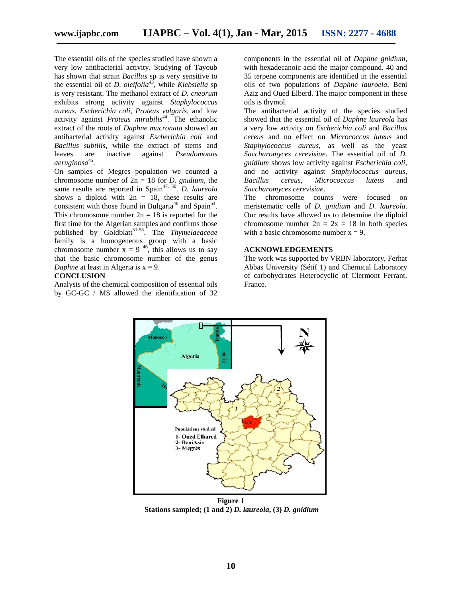The essential oils of the species studied have shown a very low antibacterial activity. Studying of Tayoub has shown that strain *Bacillus* sp is very sensitive to the essential oil of *D. oleifolia*<sup>43</sup>, while *Klebsiella* sp is very resistant. The methanol extract of *D. cneorum* exhibits strong activity against *Staphylococcus aureus*, *Escherichia coli*, *Proteus vulgaris*, and low activity against *Proteus mirabilis*<sup>44</sup> . The ethanolic extract of the roots of *Daphne mucronata* showed an antibacterial activity against *Escherichia coli* and *Bacillus subtilis*, while the extract of stems and leaves are inactive against *Pseudomonas aeruginosa*<sup>45</sup> .

On samples of Megres population we counted a chromosome number of 2n = 18 for *D. gnidium*, the same results are reported in Spain<sup>47, 50</sup>. *D. laureola* shows a diploid with  $2n = 18$ , these results are consistent with those found in Bulgaria<sup>48</sup> and Spain<sup>54</sup>. This chromosome number  $2n = 18$  is reported for the first time for the Algerian samples and confirms those published by Goldblatt<sup>51-53</sup>. The *Thymelaeaceae* family is a homogeneous group with a basic chromosome number  $x = 9^{-46}$ , this allows us to say that the basic chromosome number of the genus *Daphne* at least in Algeria is  $x = 9$ .

#### **CONCLUSION**

Analysis of the chemical composition of essential oils by GC-GC / MS allowed the identification of 32

components in the essential oil of *Daphne gnidium*, with hexadecanoic acid the major compound. 40 and 35 terpene components are identified in the essential oils of two populations of *Daphne lauroela*, Beni Aziz and Oued Elberd. The major component in these oils is thymol.

The antibacterial activity of the species studied showed that the essential oil of *Daphne laureola* has a very low activity on *Escherichia coli* and *Bacillus cereus* and no effect on *Micrococcus luteus* and *Staphylococcus aureus*, as well as the yeast *Saccharomyces cerevisiae*. The essential oil of *D. gnidium* shows low activity against *Escherichia coli*, and no activity against *Staphylococcus aureus*, *Bacillus cereus*, *Micrococcus luteus* and *Saccharomyces cerevisiae*.

The chromosome counts were focused on meristematic cells of *D. gnidium* and *D. laureola*. Our results have allowed us to determine the diploid chromosome number  $2n = 2x = 18$  in both species with a basic chromosome number  $x = 9$ .

#### **ACKNOWLEDGEMENTS**

The work was supported by VRBN laboratory, Ferhat Abbas University (Sétif 1) and Chemical Laboratory of carbohydrates Heterocyclic of Clermont Ferrant, France.



**Figure 1 Stations sampled; (1 and 2)** *D. laureola***, (3)** *D. gnidium*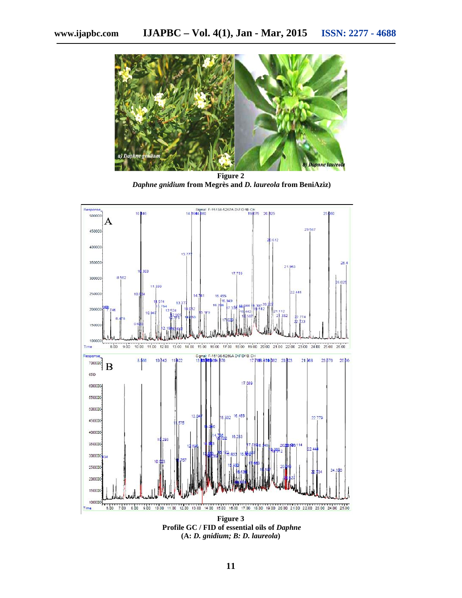

**Figure 2** *Daphne gnidium* **from Megrès and** *D. laureola* **from BeniAziz)**



**Figure 3 Profile GC / FID of essential oils of** *Daphne* **(A:** *D. gnidium; B: D. laureola***)**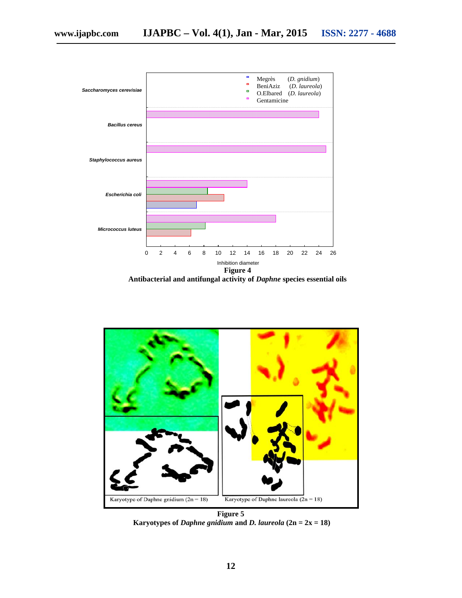

**Antibacterial and antifungal activity of** *Daphne* **species essential oils**



**Figure 5 Karyotypes of** *Daphne gnidium* and *D. laureola*  $(2n = 2x = 18)$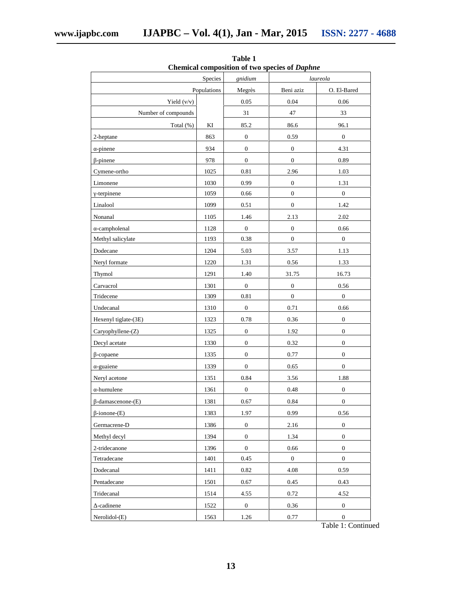|                      | gnidium     | Chemical composition of two species of <i>Dupline</i><br>laureola |                  |                  |  |
|----------------------|-------------|-------------------------------------------------------------------|------------------|------------------|--|
|                      | Populations | Megrès                                                            | Beni aziz        | O. El-Bared      |  |
| Yield $(v/v)$        |             | 0.05                                                              | 0.04             | 0.06             |  |
| Number of compounds  |             | 31                                                                | 47               | 33               |  |
| Total (%)            | KI          | 85.2                                                              | 86.6             | 96.1             |  |
| 2-heptane            | 863         | $\boldsymbol{0}$                                                  | 0.59             | $\boldsymbol{0}$ |  |
| -pinene              | 934         | $\boldsymbol{0}$                                                  | $\boldsymbol{0}$ | 4.31             |  |
| -pinene              | 978         | $\boldsymbol{0}$                                                  | $\boldsymbol{0}$ | 0.89             |  |
| Cymene-ortho         | 1025        | 0.81                                                              | 2.96             | 1.03             |  |
| Limonene             | 1030        | 0.99                                                              | $\boldsymbol{0}$ | 1.31             |  |
| -terpinene           | 1059        | 0.66                                                              | $\mathbf{0}$     | $\boldsymbol{0}$ |  |
| Linalool             | 1099        | 0.51                                                              | $\boldsymbol{0}$ | 1.42             |  |
| Nonanal              | 1105        | 1.46                                                              | 2.13             | 2.02             |  |
| -campholenal         | 1128        | $\boldsymbol{0}$                                                  | $\boldsymbol{0}$ | 0.66             |  |
| Methyl salicylate    | 1193        | 0.38                                                              | $\boldsymbol{0}$ | $\boldsymbol{0}$ |  |
| Dodecane             | 1204        | 5.03                                                              | 3.57             | 1.13             |  |
| Neryl formate        | 1220        | 1.31                                                              | 0.56             | 1.33             |  |
| Thymol               | 1291        | 1.40                                                              | 31.75            | 16.73            |  |
| Carvacrol            | 1301        | $\boldsymbol{0}$                                                  | $\boldsymbol{0}$ | 0.56             |  |
| Tridecene            | 1309        | 0.81                                                              | $\boldsymbol{0}$ | $\boldsymbol{0}$ |  |
| Undecanal            | 1310        | $\boldsymbol{0}$                                                  | 0.71             | 0.66             |  |
| Hexenyl tiglate-(3E) | 1323        | $0.78\,$                                                          | $0.36\,$         | $\boldsymbol{0}$ |  |
| Caryophyllene-(Z)    | 1325        | $\boldsymbol{0}$                                                  | 1.92             | $\boldsymbol{0}$ |  |
| Decyl acetate        | 1330        | $\boldsymbol{0}$                                                  | 0.32             | $\mathbf{0}$     |  |
| -copaene             | 1335        | $\boldsymbol{0}$                                                  | 0.77             | $\boldsymbol{0}$ |  |
| -guaiene             | 1339        | $\boldsymbol{0}$                                                  | 0.65             | $\boldsymbol{0}$ |  |
| Neryl acetone        | 1351        | 0.84                                                              | 3.56             | 1.88             |  |
| -humulene            | 1361        | $\boldsymbol{0}$                                                  | 0.48             | $\boldsymbol{0}$ |  |
| -damascenone-(E)     | 1381        | 0.67                                                              | $\rm 0.84$       | $\boldsymbol{0}$ |  |
| $-ionone(E)$         | 1383        | 1.97                                                              | 0.99             | 0.56             |  |
| Germacrene-D         | 1386        | $\boldsymbol{0}$                                                  | 2.16             | $\boldsymbol{0}$ |  |
| Methyl decyl         | 1394        | $\boldsymbol{0}$                                                  | 1.34             | $\boldsymbol{0}$ |  |
| 2-tridecanone        | 1396        | $\boldsymbol{0}$                                                  | 0.66             | $\boldsymbol{0}$ |  |
| Tetradecane          | 1401        | 0.45                                                              | $\mathbf{0}$     | $\boldsymbol{0}$ |  |
| Dodecanal            | 1411        | 0.82                                                              | 4.08             | 0.59             |  |
| Pentadecane          | 1501        | 0.67                                                              | 0.45             | 0.43             |  |
| Tridecanal           | 1514        | 4.55                                                              | 0.72             | 4.52             |  |
| -cadinene            | 1522        | $\boldsymbol{0}$                                                  | 0.36             | $\boldsymbol{0}$ |  |
| Nerolidol-(E)        | 1563        | 1.26                                                              | 0.77             | $\boldsymbol{0}$ |  |
|                      |             |                                                                   |                  |                  |  |

**Table 1 Chemical composition of two species of** *Daphne*

Table 1: Continued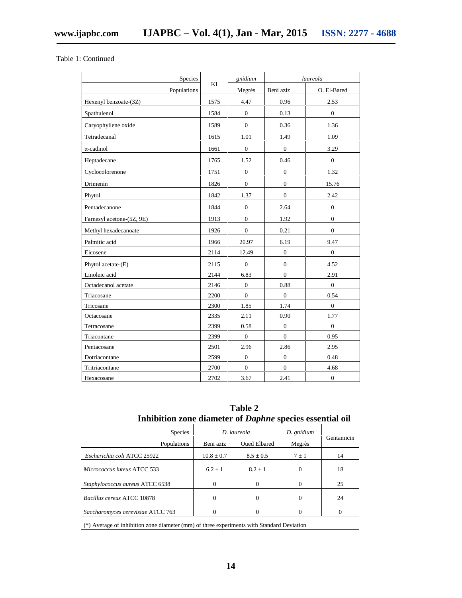Table 1: Continued

| Species                   |      | gnidium          |                  | laureola         |
|---------------------------|------|------------------|------------------|------------------|
| Populations               | ΚI   | Megrès           | Beni aziz        | O. El-Bared      |
| Hexenyl benzoate-(3Z)     | 1575 | 4.47             | 0.96             | 2.53             |
| Spathulenol               | 1584 | $\mathbf{0}$     | 0.13             | $\overline{0}$   |
| Caryophyllene oxide       | 1589 | $\overline{0}$   | 0.36             | 1.36             |
| Tetradecanal              | 1615 | 1.01             | 1.49             | 1.09             |
| -cadinol                  | 1661 | $\boldsymbol{0}$ | $\mathbf{0}$     | 3.29             |
| Heptadecane               | 1765 | 1.52             | 0.46             | $\overline{0}$   |
| Cyclocolorenone           | 1751 | $\boldsymbol{0}$ | $\mathbf{0}$     | 1.32             |
| Drimenin                  | 1826 | $\overline{0}$   | $\overline{0}$   | 15.76            |
| Phytol                    | 1842 | 1.37             | $\overline{0}$   | 2.42             |
| Pentadecanone             | 1844 | $\boldsymbol{0}$ | 2.64             | $\boldsymbol{0}$ |
| Farnesyl acetone-(5Z, 9E) | 1913 | $\overline{0}$   | 1.92             | $\overline{0}$   |
| Methyl hexadecanoate      | 1926 | $\mathbf{0}$     | 0.21             | $\overline{0}$   |
| Palmitic acid             | 1966 | 20.97            | 6.19             | 9.47             |
| Eicosene                  | 2114 | 12.49            | $\boldsymbol{0}$ | $\overline{0}$   |
| Phytol acetate-(E)        | 2115 | $\boldsymbol{0}$ | $\mathbf{0}$     | 4.52             |
| Linoleic acid             | 2144 | 6.83             | $\overline{0}$   | 2.91             |
| Octadecanol acetate       | 2146 | $\boldsymbol{0}$ | 0.88             | $\boldsymbol{0}$ |
| Triacosane                | 2200 | $\overline{0}$   | $\mathbf{0}$     | 0.54             |
| Tricosane                 | 2300 | 1.85             | 1.74             | $\boldsymbol{0}$ |
| Octacosane                | 2335 | 2.11             | 0.90             | 1.77             |
| Tetracosane               | 2399 | 0.58             | $\mathbf{0}$     | $\boldsymbol{0}$ |
| Triacontane               | 2399 | $\overline{0}$   | $\overline{0}$   | 0.95             |
| Pentacosane               | 2501 | 2.96             | 2.86             | 2.95             |
| Dotriacontane             | 2599 | $\boldsymbol{0}$ | $\mathbf{0}$     | 0.48             |
| Tritriacontane            | 2700 | $\overline{0}$   | $\overline{0}$   | 4.68             |
| Hexacosane                | 2702 | 3.67             | 2.41             | $\boldsymbol{0}$ |

| Table 2                                                         |  |
|-----------------------------------------------------------------|--|
| Inhibition zone diameter of <i>Daphne</i> species essential oil |  |

| Species                                                                                   |                | D. laureola         | D. gnidium |            |
|-------------------------------------------------------------------------------------------|----------------|---------------------|------------|------------|
| Populations                                                                               | Beni aziz      | <b>Oued Elbared</b> | Megrès     | Gentamicin |
| Escherichia coli ATCC 25922                                                               | $10.8 \pm 0.7$ | $8.5 \pm 0.5$       | $7 \pm 1$  | 14         |
| Micrococcus luteus ATCC 533                                                               | $6.2 \pm 1$    | $8.2 + 1$           | 0          | 18         |
| Staphylococcus aureus ATCC 6538                                                           |                | $\Omega$            |            | 25         |
| Bacillus cereus ATCC 10878                                                                |                | $\Omega$            | 0          | 24         |
| Saccharomyces cerevisiae ATCC 763                                                         |                | $\Omega$            |            |            |
| (*) Average of inhibition zone diameter (mm) of three experiments with Standard Deviation |                |                     |            |            |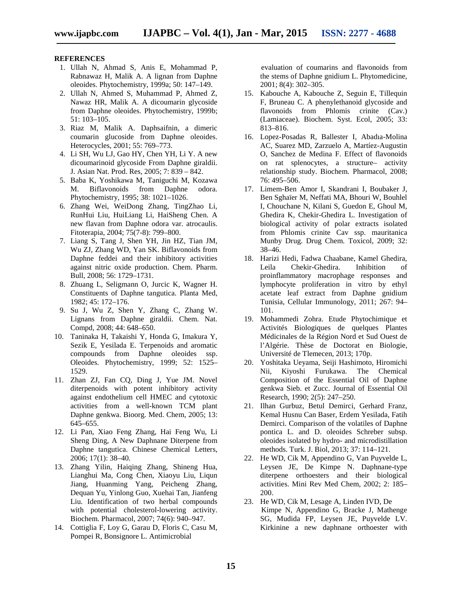#### **REFERENCES**

- 1. Ullah N, Ahmad S, Anis E, Mohammad P, Rabnawaz H, Malik A. A lignan from Daphne oleoides. Phytochemistry, 1999a; 50: 147–149.
- 2. Ullah N, Ahmed S, Muhammad P, Ahmed Z, Nawaz HR, Malik A. A dicoumarin glycoside from Daphne oleoides. Phytochemistry, 1999b; 51: 103–105.
- 3. Riaz M, Malik A. Daphsaifnin, a dimeric coumarin glucoside from Daphne oleoides. Heterocycles, 2001; 55: 769–773.
- 4. Li SH, Wu LJ, Gao HY, Chen YH, Li Y. A new dicoumarinoid glycoside From Daphne giraldii. J. Asian Nat. Prod. Res, 2005; 7: 839 – 842.
- 5. Baba K, Yoshikawa M, Taniguchi M, Kozawa M. Biflavonoids from Daphne odora. Phytochemistry, 1995; 38: 1021–1026.
- 6. Zhang Wei, WeiDong Zhang, TingZhao Li, RunHui Liu, HuiLiang Li, HaiSheng Chen. A new flavan from Daphne odora var. atrocaulis. Fitoterapia, 2004; 75(7-8): 799–800.
- 7. Liang S, Tang J, Shen YH, Jin HZ, Tian JM, Wu ZJ, Zhang WD, Yan SK. Biflavonoids from Daphne feddei and their inhibitory activities against nitric oxide production. Chem. Pharm. Bull, 2008; 56: 1729–1731.
- 8. Zhuang L, Seligmann O, Jurcic K, Wagner H. Constituents of Daphne tangutica. Planta Med, 1982; 45: 172–176.
- 9. Su J, Wu Z, Shen Y, Zhang C, Zhang W. Lignans from Daphne giraldii. Chem. Nat. Compd, 2008; 44: 648–650.
- 10. Taninaka H, Takaishi Y, Honda G, Imakura Y, Sezik E, Yesilada E. Terpenoids and aromatic compounds from Daphne oleoides ssp. Oleoides. Phytochemistry, 1999; 52: 1525– 1529.
- 11. Zhan ZJ, Fan CQ, Ding J, Yue JM. Novel diterpenoids with potent inhibitory activity against endothelium cell HMEC and cytotoxic activities from a well-known TCM plant Daphne genkwa. Bioorg. Med. Chem, 2005; 13: 645–655.
- 12. Li Pan, Xiao Feng Zhang, Hai Feng Wu, Li Sheng Ding, A New Daphnane Diterpene from Daphne tangutica. Chinese Chemical Letters, 2006; 17(1): 38–40.
- 13. Zhang Yilin, Haiqing Zhang, Shineng Hua, Lianghui Ma, Cong Chen, Xiaoyu Liu, Liqun Jiang, Huanming Yang, Peicheng Zhang, Dequan Yu, Yinlong Guo, Xuehai Tan, Jianfeng Liu. Identification of two herbal compounds with potential cholesterol-lowering activity. Biochem. Pharmacol, 2007; 74(6): 940–947.
- 14. Cottiglia F, Loy G, Garau D, Floris C, Casu M, Pompei R, Bonsignore L. Antimicrobial

evaluation of coumarins and flavonoids from the stems of Daphne gnidium L. Phytomedicine, 2001; 8(4): 302–305.

- 15. Kabouche A, Kabouche Z, Seguin E, Tillequin F, Bruneau C. A phenylethanoid glycoside and flavonoids from Phlomis crinite (Cav.) (Lamiaceae). Biochem. Syst. Ecol, 2005; 33: 813–816.
- 16. Lopez-Posadas R, Ballester I, Abadıa-Molina AC, Suarez MD, Zarzuelo A, Martíez-Augustin O, Sanchez de Medina F. Effect of flavonoids on rat splenocytes, a structure– activity relationship study. Biochem. Pharmacol, 2008; 76: 495–506.
- 17. Limem-Ben Amor I, Skandrani I, Boubaker J, Ben Sghaïer M, Neffati MA, Bhouri W, Bouhlel I, Chouchane N, Kilani S, Guedon E, Ghoul M, Ghedira K, Chekir-Ghedira L. Investigation of biological activity of polar extracts isolated from Phlomis crinite Cav ssp. mauritanica Munby Drug. Drug Chem. Toxicol, 2009; 32: 38–46.
- 18. Harizi Hedi, Fadwa Chaabane, Kamel Ghedira, Leila Chekir-Ghedira. Inhibition of proinflammatory macrophage responses and lymphocyte proliferation in vitro by ethyl acetate leaf extract from Daphne gnidium Tunisia, Cellular Immunology, 2011; 267: 94– 101.
- 19. Mohammedi Zohra. Etude Phytochimique et Activités Biologiques de quelques Plantes Médicinales de la Région Nord et Sud Ouest de l'Algérie. Thèse de Doctorat en Biologie, Université de Tlemecen, 2013; 170p.
- 20. Yoshitaka Ueyama, Seiji Hashimoto, Hiromichi Nii, Kiyoshi Furukawa. The Chemical Composition of the Essential Oil of Daphne genkwa Sieb. et Zucc. Journal of Essential Oil Research, 1990; 2(5): 247–250.
- 21. Ilhan Gurbuz, Betul Demirci, Gerhard Franz, Kemal Husnu Can Baser, Erdem Yesilada, Fatih Demirci. Comparison of the volatiles of Daphne pontica L. and D. oleoides Schreber subsp. oleoides isolated by hydro- and microdistillation methods. Turk. J. Biol, 2013; 37: 114–121.
- 22. He WD, Cik M, Appendino G, Van Puyvelde L, Leysen JE, De Kimpe N. Daphnane-type diterpene orthoesters and their biological activities. Mini Rev Med Chem, 2002; 2: 185– 200.
- 23. He WD, Cik M, Lesage A, Linden IVD, De Kimpe N, Appendino G, Bracke J, Mathenge SG, Mudida FP, Leysen JE, Puyvelde LV. Kirkinine a new daphnane orthoester with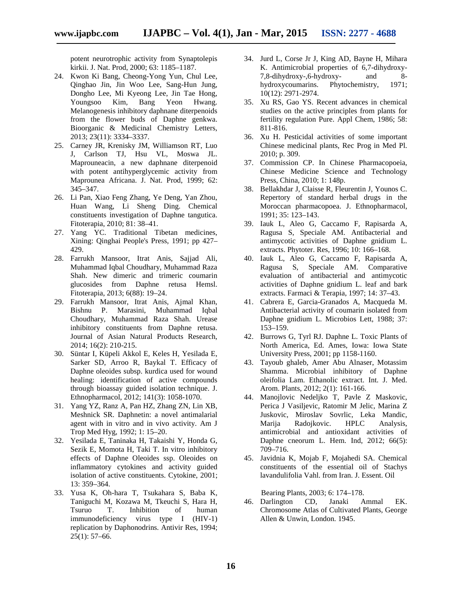potent neurotrophic activity from Synaptolepis kirkii. J. Nat. Prod, 2000; 63: 1185–1187.

- 24. Kwon Ki Bang, Cheong-Yong Yun, Chul Lee, Qinghao Jin, Jin Woo Lee, Sang-Hun Jung, Dongho Lee, Mi Kyeong Lee, Jin Tae Hong, Youngsoo Kim, Bang Yeon Hwang. Melanogenesis inhibitory daphnane diterpenoids from the flower buds of Daphne genkwa. Bioorganic & Medicinal Chemistry Letters, 2013; 23(11): 3334–3337.
- 25. Carney JR, Krenisky JM, Williamson RT, Luo J, Carlson TJ, Hsu VL, Moswa JL. Maprouneacin, a new daphnane diterpenoid with potent antihyperglycemic activity from Maprounea Africana. J. Nat. Prod, 1999; 62: 345–347.
- 26. Li Pan, Xiao Feng Zhang, Ye Deng, Yan Zhou, Huan Wang, Li Sheng Ding. Chemical constituents investigation of Daphne tangutica. Fitoterapia, 2010; 81: 38–41.
- 27. Yang YC. Traditional Tibetan medicines, Xining: Qinghai People's Press, 1991; pp 427– 429.
- 28. Farrukh Mansoor, Itrat Anis, Sajjad Ali, Muhammad Iqbal Choudhary, Muhammad Raza Shah. New dimeric and trimeric coumarin glucosides from Daphne retusa Hemsl. Fitoterapia, 2013; 6(88): 19–24.
- 29. Farrukh Mansoor, Itrat Anis, Ajmal Khan, Bishnu P. Marasini, Muhammad Iqbal Choudhary, Muhammad Raza Shah. Urease inhibitory constituents from Daphne retusa. Journal of Asian Natural Products Research, 2014; 16(2): 210-215.
- 30. Süntar I, Küpeli Akkol E, Keles H, Yesilada E, Sarker SD, Arroo R, Baykal T. Efficacy of Daphne oleoides subsp. kurdica used for wound healing: identification of active compounds through bioassay guided isolation technique. J. Ethnopharmacol, 2012; 141(3): 1058-1070.
- 31. Yang YZ, Ranz A, Pan HZ, Zhang ZN, Lin XB, Meshnick SR. Daphnetin: a novel antimalarial agent with in vitro and in vivo activity. Am J Trop Med Hyg, 1992; 1: 15–20.
- 32. Yesilada E, Taninaka H, Takaishi Y, Honda G, Sezik E, Momota H, Taki T. In vitro inhibitory effects of Daphne Oleoides ssp. Oleoides on inflammatory cytokines and activity guided isolation of active constituents. Cytokine, 2001; 13: 359–364.
- 33. Yusa K, Oh-hara T, Tsukahara S, Baba K, Taniguchi M, Kozawa M, Tkeuchi S, Hara H, Tsuruo T. Inhibition of human immunodeficiency virus type I (HIV-1) replication by Daphonodrins. Antivir Res, 1994;  $25(1): 57-66.$
- 34. Jurd L, Corse Jr J, King AD, Bayne H, Mihara K. Antimicrobial properties of 6,7-dihydroxy- 7,8-dihydroxy-,6-hydroxy- and 8 hydroxycoumarins. Phytochemistry, 1971; 10(12): 2971-2974.
- 35. Xu RS, Gao YS. Recent advances in chemical studies on the active principles from plants for fertility regulation Pure. Appl Chem, 1986; 58: 811-816.
- 36. Xu H. Pesticidal activities of some important Chinese medicinal plants, Rec Prog in Med Pl. 2010; p. 309.
- 37. Commission CP. In Chinese Pharmacopoeia, Chinese Medicine Science and Technology Press, China, 2010; 1: 148p.
- 38. Bellakhdar J, Claisse R, Fleurentin J, Younos C. Repertory of standard herbal drugs in the Moroccan pharmacopoea. J. Ethnopharmacol, 1991; 35: 123–143.
- 39. Iauk L, Aleo G, Caccamo F, Rapisarda A, Ragusa S, Speciale AM. Antibacterial and antimycotic activities of Daphne gnidium L. extracts. Phytoter. Res, 1996; 10: 166–168.
- 40. Iauk L, Aleo G, Caccamo F, Rapisarda A, Ragusa S, Speciale AM. Comparative evaluation of antibacterial and antimycotic activities of Daphne gnidium L. leaf and bark extracts. Farmaci & Terapia, 1997; 14: 37–43.
- 41. Cabrera E, Garcia-Granados A, Macqueda M. Antibacterial activity of coumarin isolated from Daphne gnidium L. Microbios Lett, 1988; 37: 153–159.
- 42. Burrows G, Tyrl RJ. Daphne L. Toxic Plants of North America, Ed. Ames, Iowa: Iowa State University Press, 2001; pp 1158-1160.
- 43. Tayoub ghaleb, Amer Abu Alnaser, Motassim Shamma. Microbial inhibitory of Daphne oleifolia Lam. Ethanolic extract. Int. J. Med. Arom. Plants, 2012; 2(1): 161-166.
- 44. Manojlovic Nedeljko T, Pavle Z Maskovic, Perica J Vasiljevic, Ratomir M Jelic, Marina Z Juskovic, Miroslav Sovrlic, Leka Mandic, Marija Radojkovic. HPLC Analysis, antimicrobial and antioxidant activities of Daphne cneorum L. Hem. Ind, 2012; 66(5): 709–716.
- 45. Javidnia K, Mojab F, Mojahedi SA. Chemical constituents of the essential oil of Stachys lavandulifolia Vahl. from Iran. J. Essent. Oil

Bearing Plants, 2003; 6: 174–178.

46. Darlington CD, Janaki Ammal EK. Chromosome Atlas of Cultivated Plants, George Allen & Unwin, London. 1945.